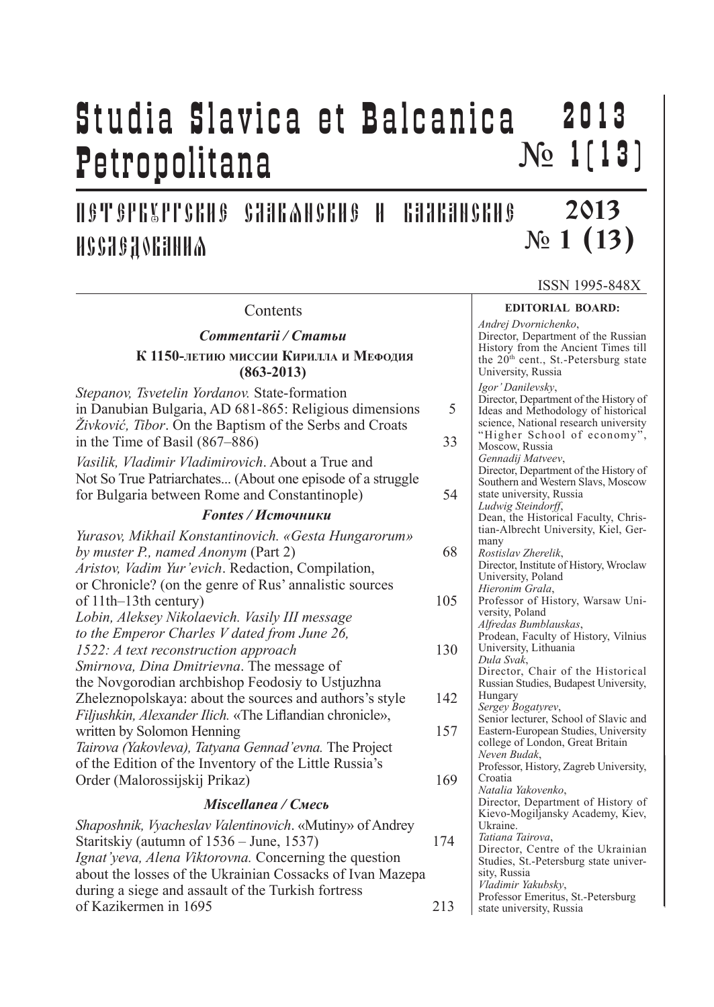## Studia Slavica et Balcanica Petropolitana 2 0 1 3  $N_2$  1[13]

ПЕТЕРБУРГСКИЕ СЛАВЯНСКИЕ И БАЛКАНСКИЕ **ИССЛЕДОВАНИА** 

ISSN 1995-848X

2013

### **EDITORIAL BOARD:** *Andrej Dvornichenko*, Director, Department of the Russian History from the Ancient Times till the 20<sup>th</sup> cent., St.-Petersburg state University, Russia *Igor' Danilevsky*, Director, Department of the History of Ideas and Methodology of historical science, National research university "Higher School of economy", Moscow, Russia *Gennadij Matveev*, Director, Department of the History of Southern and Western Slavs, Moscow state university, Russia *Ludwig Steindorff*, Dean, the Historical Faculty, Christian-Albrecht University, Kiel, Germany *Rostislav Zherelik*, Director, Institute of History, Wroclaw University, Poland *Hieronim Grala*, Professor of History, Warsaw University, Poland *Alfredas Bumblauskas*, Prodean, Faculty of History, Vilnius University, Lithuania *Dula Svak*, Director, Chair of the Historical Russian Studies, Budapest University, Hungary *Sergey Bogatyrev*, Senior lecturer, School of Slavic and Eastern-European Studies, University college of London, Great Britain *Neven Budak*, Professor, History, Zagreb University, Croatia *Natalia Yakovenko*, Director, Department of History of Kievo-Mogiljansky Academy, Kiev, Ukraine. *Tatiana Tairova*, Director, Centre of the Ukrainian Studies, St.-Petersburg state university, Russia *Vladimir Yakubsky*, Professor Emeritus, St.-Petersburg state university, Russia *Commentarii / Статьи* **(863-2013) Contents**

N<sub>o</sub> 1 (13)

# **К 1150-летию миссии Кирилла <sup>и</sup> Мефодия**

*Stepanov, Tsvetelin Yordanov.* State-formation in Danubian Bulgaria, AD 681-865: Religious dimensions 5 *Živković, Tibor*. On the Baptism of the Serbs and Croats in the Time of Basil  $(867–886)$  33 *Vasilik, Vladimir Vladimirovich*. About a True and Not So True Patriarchates... (About one episode of a struggle for Bulgaria between Rome and Constantinople) 54 *Fontes / Источники Yurasov, Mikhail Konstantinovich. «Gesta Hungarorum» by muster P., named Anonym* (Part 2) 68 *Aristov, Vadim Yur'evich*. Redaction, Compilation, or Chronicle? (on the genre of Rus' annalistic sources of 11th–13th century) 105 *Lobin, Aleksey Nikolaevich. Vasily III message to the Emperor Charles V dated from June 26, 1522: A text reconstruction approach* 130 *Smirnova, Dina Dmitrievna*. The message of the Novgorodian archbishop Feodosiy to Ustjuzhna Zheleznopolskaya: about the sources and authors's style 142 *Filjushkin, Alexander Ilich.* «The Liflandian chronicle», written by Solomon Henning 157 *Tairova (Yakovleva), Tatyana Gennad'evna.* The Project of the Edition of the Inventory of the Little Russia's Order (Malorossijskij Prikaz) 169

## *Miscellanea / Смесь*

| Shaposhnik, <i>Vyacheslav Valentinovich</i> . «Mutiny» of Andrey |     |
|------------------------------------------------------------------|-----|
| Staritskiy (autumn of 1536 – June, 1537)                         | 174 |
| <i>Ignat'veva, Alena Viktorovna.</i> Concerning the question     |     |
| about the losses of the Ukrainian Cossacks of Ivan Mazepa        |     |
| during a siege and assault of the Turkish fortress               |     |
| of Kazikermen in 1695                                            | 213 |
|                                                                  |     |